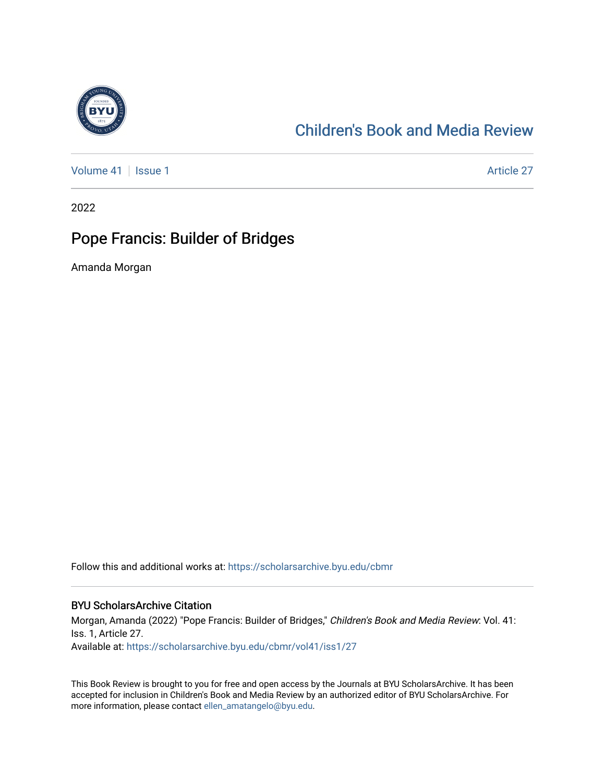

## [Children's Book and Media Review](https://scholarsarchive.byu.edu/cbmr)

[Volume 41](https://scholarsarchive.byu.edu/cbmr/vol41) | [Issue 1](https://scholarsarchive.byu.edu/cbmr/vol41/iss1) Article 27

2022

## Pope Francis: Builder of Bridges

Amanda Morgan

Follow this and additional works at: [https://scholarsarchive.byu.edu/cbmr](https://scholarsarchive.byu.edu/cbmr?utm_source=scholarsarchive.byu.edu%2Fcbmr%2Fvol41%2Fiss1%2F27&utm_medium=PDF&utm_campaign=PDFCoverPages) 

## BYU ScholarsArchive Citation

Morgan, Amanda (2022) "Pope Francis: Builder of Bridges," Children's Book and Media Review: Vol. 41: Iss. 1, Article 27. Available at: [https://scholarsarchive.byu.edu/cbmr/vol41/iss1/27](https://scholarsarchive.byu.edu/cbmr/vol41/iss1/27?utm_source=scholarsarchive.byu.edu%2Fcbmr%2Fvol41%2Fiss1%2F27&utm_medium=PDF&utm_campaign=PDFCoverPages)

This Book Review is brought to you for free and open access by the Journals at BYU ScholarsArchive. It has been accepted for inclusion in Children's Book and Media Review by an authorized editor of BYU ScholarsArchive. For more information, please contact [ellen\\_amatangelo@byu.edu.](mailto:ellen_amatangelo@byu.edu)